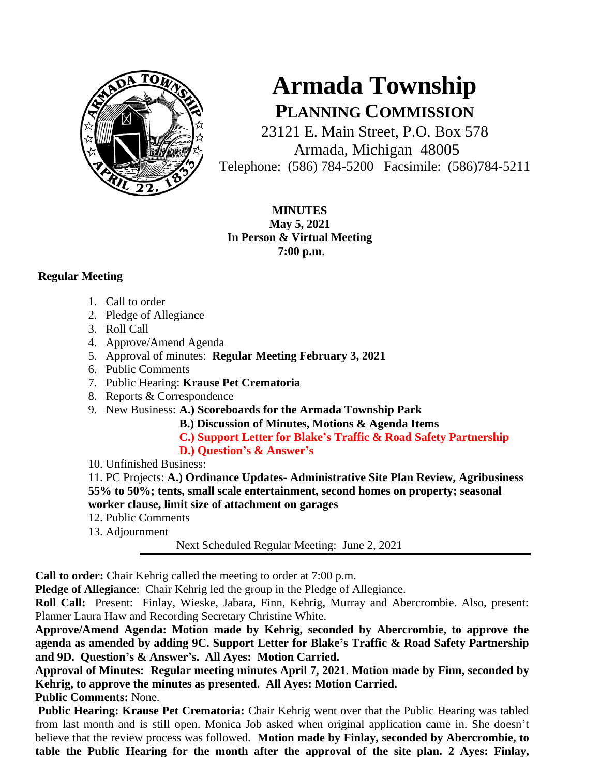

## **Armada Township PLANNING COMMISSION**

23121 E. Main Street, P.O. Box 578 Armada, Michigan 48005 Telephone: (586) 784-5200 Facsimile: (586)784-5211

**MINUTES May 5, 2021 In Person & Virtual Meeting 7:00 p.m**.

## **Regular Meeting**

- 1. Call to order
- 2. Pledge of Allegiance
- 3. Roll Call
- 4. Approve/Amend Agenda
- 5. Approval of minutes: **Regular Meeting February 3, 2021**
- 6. Public Comments
- 7. Public Hearing: **Krause Pet Crematoria**
- 8. Reports & Correspondence
- 9. New Business: **A.) Scoreboards for the Armada Township Park**
	- **B.) Discussion of Minutes, Motions & Agenda Items**
	- **C.) Support Letter for Blake's Traffic & Road Safety Partnership**
	- **D.) Question's & Answer's**
- 10. Unfinished Business:

11. PC Projects: **A.) Ordinance Updates- Administrative Site Plan Review, Agribusiness 55% to 50%; tents, small scale entertainment, second homes on property; seasonal worker clause, limit size of attachment on garages**

- 12. Public Comments
- 13. Adjournment

Next Scheduled Regular Meeting: June 2, 2021

**Call to order:** Chair Kehrig called the meeting to order at 7:00 p.m.

**Pledge of Allegiance**: Chair Kehrig led the group in the Pledge of Allegiance.

**Roll Call:** Present: Finlay, Wieske, Jabara, Finn, Kehrig, Murray and Abercrombie. Also, present: Planner Laura Haw and Recording Secretary Christine White.

**Approve/Amend Agenda: Motion made by Kehrig, seconded by Abercrombie, to approve the agenda as amended by adding 9C. Support Letter for Blake's Traffic & Road Safety Partnership and 9D. Question's & Answer's. All Ayes: Motion Carried.**

**Approval of Minutes: Regular meeting minutes April 7, 2021**. **Motion made by Finn, seconded by Kehrig, to approve the minutes as presented. All Ayes: Motion Carried. Public Comments:** None.

**Public Hearing: Krause Pet Crematoria:** Chair Kehrig went over that the Public Hearing was tabled from last month and is still open. Monica Job asked when original application came in. She doesn't believe that the review process was followed. **Motion made by Finlay, seconded by Abercrombie, to table the Public Hearing for the month after the approval of the site plan. 2 Ayes: Finlay,**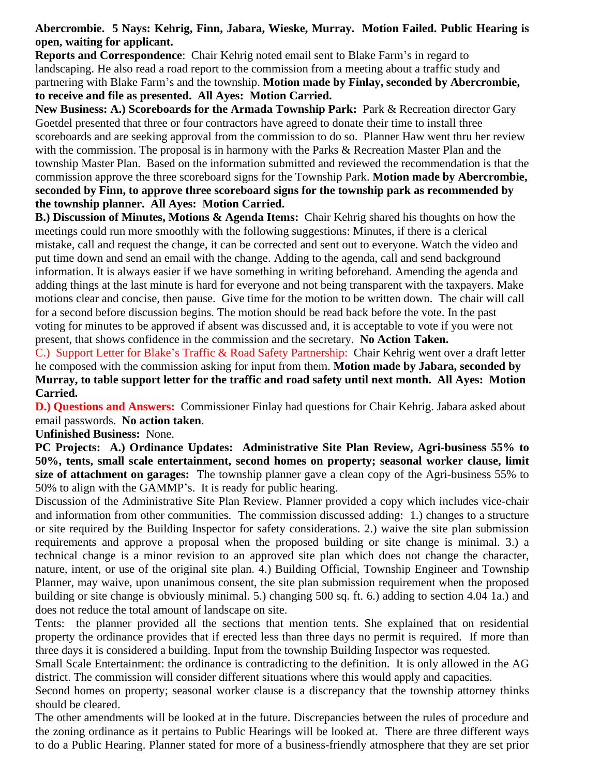## **Abercrombie. 5 Nays: Kehrig, Finn, Jabara, Wieske, Murray. Motion Failed. Public Hearing is open, waiting for applicant.**

**Reports and Correspondence**: Chair Kehrig noted email sent to Blake Farm's in regard to landscaping. He also read a road report to the commission from a meeting about a traffic study and partnering with Blake Farm's and the township. **Motion made by Finlay, seconded by Abercrombie, to receive and file as presented. All Ayes: Motion Carried.** 

**New Business: A.) Scoreboards for the Armada Township Park:** Park & Recreation director Gary Goetdel presented that three or four contractors have agreed to donate their time to install three scoreboards and are seeking approval from the commission to do so. Planner Haw went thru her review with the commission. The proposal is in harmony with the Parks & Recreation Master Plan and the township Master Plan. Based on the information submitted and reviewed the recommendation is that the commission approve the three scoreboard signs for the Township Park. **Motion made by Abercrombie, seconded by Finn, to approve three scoreboard signs for the township park as recommended by the township planner. All Ayes: Motion Carried.**

**B.) Discussion of Minutes, Motions & Agenda Items:** Chair Kehrig shared his thoughts on how the meetings could run more smoothly with the following suggestions: Minutes, if there is a clerical mistake, call and request the change, it can be corrected and sent out to everyone. Watch the video and put time down and send an email with the change. Adding to the agenda, call and send background information. It is always easier if we have something in writing beforehand. Amending the agenda and adding things at the last minute is hard for everyone and not being transparent with the taxpayers. Make motions clear and concise, then pause. Give time for the motion to be written down. The chair will call for a second before discussion begins. The motion should be read back before the vote. In the past voting for minutes to be approved if absent was discussed and, it is acceptable to vote if you were not present, that shows confidence in the commission and the secretary. **No Action Taken.**

C.) Support Letter for Blake's Traffic & Road Safety Partnership: Chair Kehrig went over a draft letter he composed with the commission asking for input from them. **Motion made by Jabara, seconded by Murray, to table support letter for the traffic and road safety until next month. All Ayes: Motion Carried.**

**D.) Questions and Answers:** Commissioner Finlay had questions for Chair Kehrig. Jabara asked about email passwords. **No action taken**.

**Unfinished Business:** None.

**PC Projects: A.) Ordinance Updates: Administrative Site Plan Review, Agri-business 55% to 50%, tents, small scale entertainment, second homes on property; seasonal worker clause, limit size of attachment on garages:** The township planner gave a clean copy of the Agri-business 55% to 50% to align with the GAMMP's. It is ready for public hearing.

Discussion of the Administrative Site Plan Review. Planner provided a copy which includes vice-chair and information from other communities. The commission discussed adding: 1.) changes to a structure or site required by the Building Inspector for safety considerations. 2.) waive the site plan submission requirements and approve a proposal when the proposed building or site change is minimal. 3.) a technical change is a minor revision to an approved site plan which does not change the character, nature, intent, or use of the original site plan. 4.) Building Official, Township Engineer and Township Planner, may waive, upon unanimous consent, the site plan submission requirement when the proposed building or site change is obviously minimal. 5.) changing 500 sq. ft. 6.) adding to section 4.04 1a.) and does not reduce the total amount of landscape on site.

Tents: the planner provided all the sections that mention tents. She explained that on residential property the ordinance provides that if erected less than three days no permit is required. If more than three days it is considered a building. Input from the township Building Inspector was requested.

Small Scale Entertainment: the ordinance is contradicting to the definition. It is only allowed in the AG district. The commission will consider different situations where this would apply and capacities.

Second homes on property; seasonal worker clause is a discrepancy that the township attorney thinks should be cleared.

The other amendments will be looked at in the future. Discrepancies between the rules of procedure and the zoning ordinance as it pertains to Public Hearings will be looked at. There are three different ways to do a Public Hearing. Planner stated for more of a business-friendly atmosphere that they are set prior